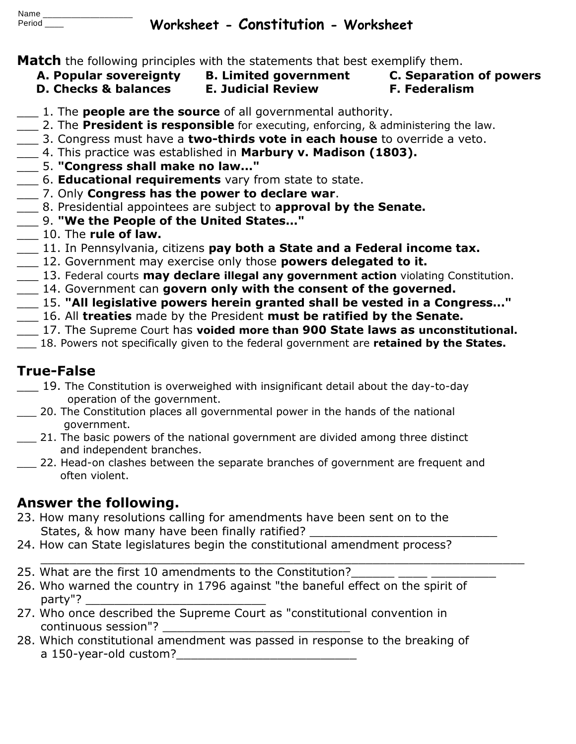#### Name Period \_\_\_\_

## **Worksheet - Constitution - Worksheet**

**Match** the following principles with the statements that best exemplify them.

- 
- **A. Popular sovereignty B. Limited government C. Separation of powers**

- **D. Checks & balances E. Judicial Review F. Federalism**
- \_\_\_ 1. The **people are the source** of all governmental authority.
- \_\_\_ 2. The **President is responsible** for executing, enforcing, & administering the law.
- \_\_\_ 3. Congress must have a **two-thirds vote in each house** to override a veto.
- \_\_\_ 4. This practice was established in **Marbury v. Madison (1803).**
- \_\_\_ 5. **"Congress shall make no law..."**
- \_\_\_ 6. **Educational requirements** vary from state to state.
- \_\_\_ 7. Only **Congress has the power to declare war**.
- \_\_\_ 8. Presidential appointees are subject to **approval by the Senate.**
- \_\_\_ 9. **"We the People of the United States..."**
- \_\_\_ 10. The **rule of law.**
- \_\_\_ 11. In Pennsylvania, citizens **pay both a State and a Federal income tax.**
- \_\_\_ 12. Government may exercise only those **powers delegated to it.**
- \_\_\_ 13. Federal courts **may declare illegal any government action** violating Constitution.
- \_\_\_ 14. Government can **govern only with the consent of the governed.**
- \_\_\_ 15. **"All legislative powers herein granted shall be vested in a Congress..."**
- \_\_\_ 16. All **treaties** made by the President **must be ratified by the Senate.**
- \_\_\_ 17. The Supreme Court has **voided more than 900 State laws as unconstitutional.**
- \_\_\_ 18. Powers not specifically given to the federal government are **retained by the States.**

# **True-False**

- \_\_\_ 19. The Constitution is overweighed with insignificant detail about the day-to-day operation of the government.
- \_\_\_ 20. The Constitution places all governmental power in the hands of the national government.
- **21.** The basic powers of the national government are divided among three distinct and independent branches.
- 22. Head-on clashes between the separate branches of government are frequent and often violent.

# **Answer the following.**

- 23. How many resolutions calling for amendments have been sent on to the States, & how many have been finally ratified?
- 24. How can State legislatures begin the constitutional amendment process?  $\overline{\phantom{a}}$  ,  $\overline{\phantom{a}}$  ,  $\overline{\phantom{a}}$  ,  $\overline{\phantom{a}}$  ,  $\overline{\phantom{a}}$  ,  $\overline{\phantom{a}}$  ,  $\overline{\phantom{a}}$  ,  $\overline{\phantom{a}}$  ,  $\overline{\phantom{a}}$  ,  $\overline{\phantom{a}}$  ,  $\overline{\phantom{a}}$  ,  $\overline{\phantom{a}}$  ,  $\overline{\phantom{a}}$  ,  $\overline{\phantom{a}}$  ,  $\overline{\phantom{a}}$  ,  $\overline{\phantom{a}}$
- 25. What are the first 10 amendments to the Constitution?
- 26. Who warned the country in 1796 against "the baneful effect on the spirit of party"?
- 27. Who once described the Supreme Court as "constitutional convention in continuous session"?
- 28. Which constitutional amendment was passed in response to the breaking of a 150-year-old custom?